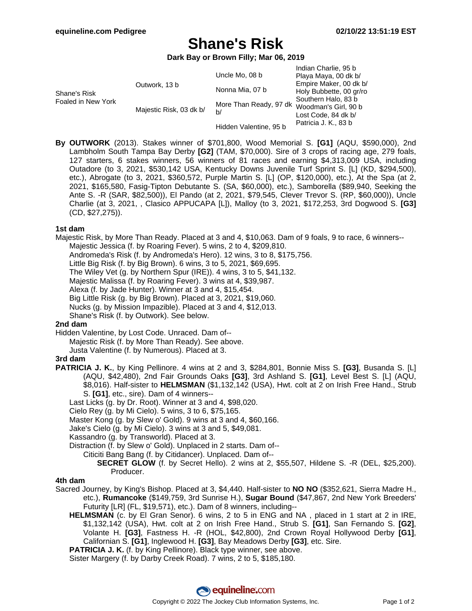# **Shane's Risk**

**Dark Bay or Brown Filly; Mar 06, 2019**

|                                    |                         | Uncle Mo, 08 b               | Indian Charlie, 95 b<br>Playa Maya, 00 dk b/                                                                                                    |
|------------------------------------|-------------------------|------------------------------|-------------------------------------------------------------------------------------------------------------------------------------------------|
| Shane's Risk<br>Foaled in New York | Outwork, 13 b           | Nonna Mia, 07 b              | Empire Maker, 00 dk b/<br>Holy Bubbette, 00 gr/ro<br>Southern Halo, 83 b<br>Woodman's Girl, 90 b<br>Lost Code, 84 dk b/<br>Patricia J. K., 83 b |
|                                    | Majestic Risk, 03 dk b/ | More Than Ready, 97 dk<br>b/ |                                                                                                                                                 |
|                                    |                         | Hidden Valentine, 95 b       |                                                                                                                                                 |

**By OUTWORK** (2013). Stakes winner of \$701,800, Wood Memorial S. **[G1]** (AQU, \$590,000), 2nd Lambholm South Tampa Bay Derby **[G2]** (TAM, \$70,000). Sire of 3 crops of racing age, 279 foals, 127 starters, 6 stakes winners, 56 winners of 81 races and earning \$4,313,009 USA, including Outadore (to 3, 2021, \$530,142 USA, Kentucky Downs Juvenile Turf Sprint S. [L] (KD, \$294,500), etc.), Abrogate (to 3, 2021, \$360,572, Purple Martin S. [L] (OP, \$120,000), etc.), At the Spa (at 2, 2021, \$165,580, Fasig-Tipton Debutante S. (SA, \$60,000), etc.), Samborella (\$89,940, Seeking the Ante S. -R (SAR, \$82,500)), El Pando (at 2, 2021, \$79,545, Clever Trevor S. (RP, \$60,000)), Uncle Charlie (at 3, 2021, , Clasico APPUCAPA [L]), Malloy (to 3, 2021, \$172,253, 3rd Dogwood S. **[G3]** (CD, \$27,275)).

# **1st dam**

Majestic Risk, by More Than Ready. Placed at 3 and 4, \$10,063. Dam of 9 foals, 9 to race, 6 winners-- Majestic Jessica (f. by Roaring Fever). 5 wins, 2 to 4, \$209,810. Andromeda's Risk (f. by Andromeda's Hero). 12 wins, 3 to 8, \$175,756. Little Big Risk (f. by Big Brown). 6 wins, 3 to 5, 2021, \$69,695. The Wiley Vet (g. by Northern Spur (IRE)). 4 wins, 3 to 5, \$41,132. Majestic Malissa (f. by Roaring Fever). 3 wins at 4, \$39,987. Alexa (f. by Jade Hunter). Winner at 3 and 4, \$15,454. Big Little Risk (g. by Big Brown). Placed at 3, 2021, \$19,060. Nucks (g. by Mission Impazible). Placed at 3 and 4, \$12,013. Shane's Risk (f. by Outwork). See below.

# **2nd dam**

Hidden Valentine, by Lost Code. Unraced. Dam of--

Majestic Risk (f. by More Than Ready). See above.

Justa Valentine (f. by Numerous). Placed at 3.

# **3rd dam**

**PATRICIA J. K.**, by King Pellinore. 4 wins at 2 and 3, \$284,801, Bonnie Miss S. **[G3]**, Busanda S. [L] (AQU, \$42,480), 2nd Fair Grounds Oaks **[G3]**, 3rd Ashland S. **[G1]**, Level Best S. [L] (AQU, \$8,016). Half-sister to **HELMSMAN** (\$1,132,142 (USA), Hwt. colt at 2 on Irish Free Hand., Strub S. **[G1]**, etc., sire). Dam of 4 winners--

Last Licks (g. by Dr. Root). Winner at 3 and 4, \$98,020.

Cielo Rey (g. by Mi Cielo). 5 wins, 3 to 6, \$75,165.

Master Kong (g. by Slew o' Gold). 9 wins at 3 and 4, \$60,166.

Jake's Cielo (g. by Mi Cielo). 3 wins at 3 and 5, \$49,081.

Kassandro (g. by Transworld). Placed at 3.

Distraction (f. by Slew o' Gold). Unplaced in 2 starts. Dam of--

Citiciti Bang Bang (f. by Citidancer). Unplaced. Dam of--

**SECRET GLOW** (f. by Secret Hello). 2 wins at 2, \$55,507, Hildene S. -R (DEL, \$25,200). Producer.

# **4th dam**

Sacred Journey, by King's Bishop. Placed at 3, \$4,440. Half-sister to **NO NO** (\$352,621, Sierra Madre H., etc.), **Rumancoke** (\$149,759, 3rd Sunrise H.), **Sugar Bound** (\$47,867, 2nd New York Breeders' Futurity [LR] (FL, \$19,571), etc.). Dam of 8 winners, including--

**HELMSMAN** (c. by El Gran Senor). 6 wins, 2 to 5 in ENG and NA , placed in 1 start at 2 in IRE, \$1,132,142 (USA), Hwt. colt at 2 on Irish Free Hand., Strub S. **[G1]**, San Fernando S. **[G2]**, Volante H. **[G3]**, Fastness H. -R (HOL, \$42,800), 2nd Crown Royal Hollywood Derby **[G1]**, Californian S. **[G1]**, Inglewood H. **[G3]**, Bay Meadows Derby **[G3]**, etc. Sire.

**PATRICIA J. K.** (f. by King Pellinore). Black type winner, see above.

Sister Margery (f. by Darby Creek Road). 7 wins, 2 to 5, \$185,180.